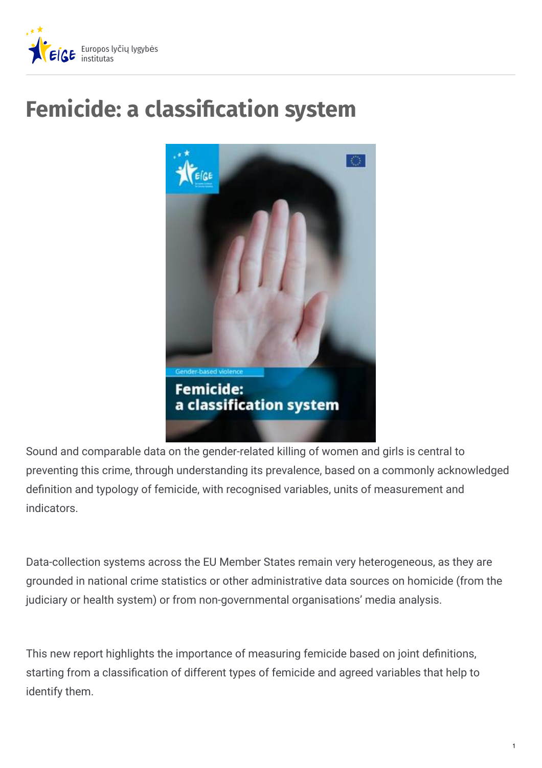

## **Femicide: a classication system**



Sound and comparable data on the gender-related killing of women and girls is central to preventing this crime, through understanding its prevalence, based on a commonly acknowledged definition and typology of femicide, with recognised variables, units of measurement and indicators.

Data-collection systems across the EU Member States remain very heterogeneous, as they are grounded in national crime statistics or other administrative data sources on homicide (from the judiciary or health system) or from non-governmental organisations' media analysis.

This new report highlights the importance of measuring femicide based on joint definitions, starting from a classification of different types of femicide and agreed variables that help to identify them.